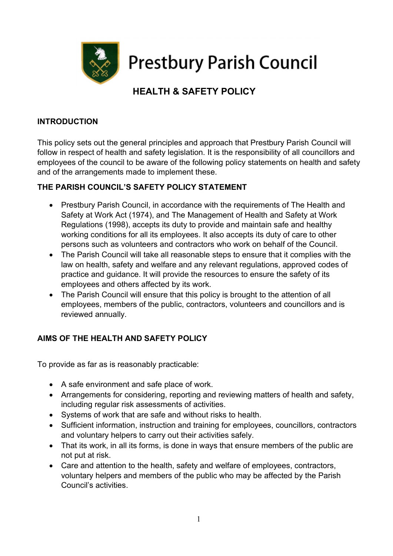

**Prestbury Parish Council** 

# HEALTH & SAFETY POLICY

## INTRODUCTION

This policy sets out the general principles and approach that Prestbury Parish Council will follow in respect of health and safety legislation. It is the responsibility of all councillors and employees of the council to be aware of the following policy statements on health and safety and of the arrangements made to implement these.

## THE PARISH COUNCIL'S SAFETY POLICY STATEMENT

- Prestbury Parish Council, in accordance with the requirements of The Health and Safety at Work Act (1974), and The Management of Health and Safety at Work Regulations (1998), accepts its duty to provide and maintain safe and healthy working conditions for all its employees. It also accepts its duty of care to other persons such as volunteers and contractors who work on behalf of the Council.
- The Parish Council will take all reasonable steps to ensure that it complies with the law on health, safety and welfare and any relevant regulations, approved codes of practice and guidance. It will provide the resources to ensure the safety of its employees and others affected by its work.
- The Parish Council will ensure that this policy is brought to the attention of all employees, members of the public, contractors, volunteers and councillors and is reviewed annually.

# AIMS OF THE HEALTH AND SAFETY POLICY

To provide as far as is reasonably practicable:

- A safe environment and safe place of work.
- Arrangements for considering, reporting and reviewing matters of health and safety, including regular risk assessments of activities.
- Systems of work that are safe and without risks to health.
- Sufficient information, instruction and training for employees, councillors, contractors and voluntary helpers to carry out their activities safely.
- That its work, in all its forms, is done in ways that ensure members of the public are not put at risk.
- Care and attention to the health, safety and welfare of employees, contractors, voluntary helpers and members of the public who may be affected by the Parish Council's activities.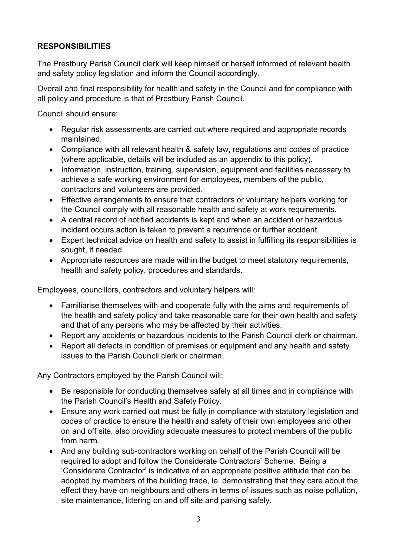## RESPONSIBILITIES

The Prestbury Parish Council clerk will keep himself or herself informed of relevant health and safety policy legislation and inform the Council accordingly.

Overall and final responsibility for health and safety in the Council and for compliance with all policy and procedure is that of Prestbury Parish Council.

Council should ensure:

- Regular risk assessments are carried out where required and appropriate records maintained.
- Compliance with all relevant health & safety law, regulations and codes of practice (where applicable, details will be included as an appendix to this policy).
- Information, instruction, training, supervision, equipment and facilities necessary to achieve a safe working environment for employees, members of the public, contractors and volunteers are provided.
- Effective arrangements to ensure that contractors or voluntary helpers working for the Council comply with all reasonable health and safety at work requirements.
- A central record of notified accidents is kept and when an accident or hazardous incident occurs action is taken to prevent a recurrence or further accident.
- Expert technical advice on health and safety to assist in fulfilling its responsibilities is sought, if needed.
- Appropriate resources are made within the budget to meet statutory requirements, health and safety policy, procedures and standards.

Employees, councillors, contractors and voluntary helpers will:

- Familiarise themselves with and cooperate fully with the aims and requirements of the health and safety policy and take reasonable care for their own health and safety and that of any persons who may be affected by their activities.
- Report any accidents or hazardous incidents to the Parish Council clerk or chairman.
- Report all defects in condition of premises or equipment and any health and safety issues to the Parish Council clerk or chairman.

Any Contractors employed by the Parish Council will:

- Be responsible for conducting themselves safely at all times and in compliance with the Parish Council's Health and Safety Policy.
- Ensure any work carried out must be fully in compliance with statutory legislation and codes of practice to ensure the health and safety of their own employees and other on and off site, also providing adequate measures to protect members of the public from harm.
- And any building sub-contractors working on behalf of the Parish Council will be required to adopt and follow the Considerate Contractors' Scheme. Being a 'Considerate Contractor' is indicative of an appropriate positive attitude that can be adopted by members of the building trade, ie. demonstrating that they care about the effect they have on neighbours and others in terms of issues such as noise pollution, site maintenance, littering on and off site and parking safely.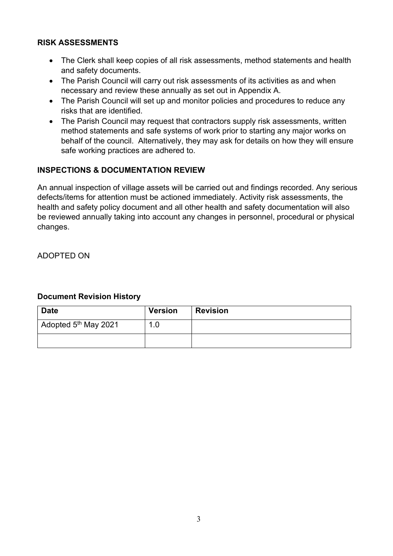## RISK ASSESSMENTS

- The Clerk shall keep copies of all risk assessments, method statements and health and safety documents.
- The Parish Council will carry out risk assessments of its activities as and when necessary and review these annually as set out in Appendix A.
- The Parish Council will set up and monitor policies and procedures to reduce any risks that are identified.
- The Parish Council may request that contractors supply risk assessments, written method statements and safe systems of work prior to starting any major works on behalf of the council. Alternatively, they may ask for details on how they will ensure safe working practices are adhered to.

## INSPECTIONS & DOCUMENTATION REVIEW

An annual inspection of village assets will be carried out and findings recorded. Any serious defects/items for attention must be actioned immediately. Activity risk assessments, the health and safety policy document and all other health and safety documentation will also be reviewed annually taking into account any changes in personnel, procedural or physical changes.

ADOPTED ON

## Document Revision History

| <b>Date</b>                              | <b>Version</b> | <b>Revision</b> |
|------------------------------------------|----------------|-----------------|
| $\vert$ Adopted 5 <sup>th</sup> May 2021 |                |                 |
|                                          |                |                 |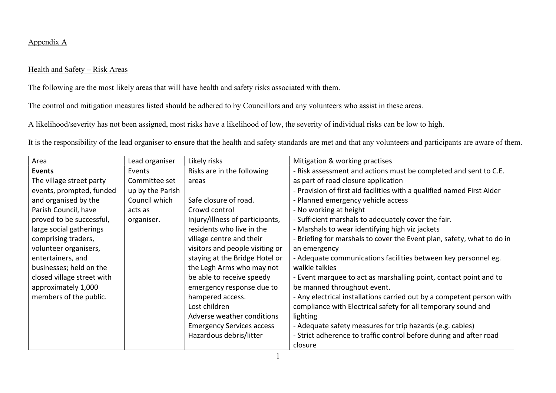#### Appendix A

#### Health and Safety – Risk Areas

The following are the most likely areas that will have health and safety risks associated with them.

The control and mitigation measures listed should be adhered to by Councillors and any volunteers who assist in these areas.

A likelihood/severity has not been assigned, most risks have a likelihood of low, the severity of individual risks can be low to high.

It is the responsibility of the lead organiser to ensure that the health and safety standards are met and that any volunteers and participants are aware of them.

| Area                       | Lead organiser   | Likely risks                     | Mitigation & working practises                                         |
|----------------------------|------------------|----------------------------------|------------------------------------------------------------------------|
| <b>Events</b>              | Events           | Risks are in the following       | - Risk assessment and actions must be completed and sent to C.E.       |
| The village street party   | Committee set    | areas                            | as part of road closure application                                    |
| events, prompted, funded   | up by the Parish |                                  | - Provision of first aid facilities with a qualified named First Aider |
| and organised by the       | Council which    | Safe closure of road.            | - Planned emergency vehicle access                                     |
| Parish Council, have       | acts as          | Crowd control                    | - No working at height                                                 |
| proved to be successful,   | organiser.       | Injury/illness of participants,  | - Sufficient marshals to adequately cover the fair.                    |
| large social gatherings    |                  | residents who live in the        | - Marshals to wear identifying high viz jackets                        |
| comprising traders,        |                  | village centre and their         | - Briefing for marshals to cover the Event plan, safety, what to do in |
| volunteer organisers,      |                  | visitors and people visiting or  | an emergency                                                           |
| entertainers, and          |                  | staying at the Bridge Hotel or   | - Adequate communications facilities between key personnel eg.         |
| businesses; held on the    |                  | the Legh Arms who may not        | walkie talkies                                                         |
| closed village street with |                  | be able to receive speedy        | - Event marquee to act as marshalling point, contact point and to      |
| approximately 1,000        |                  | emergency response due to        | be manned throughout event.                                            |
| members of the public.     |                  | hampered access.                 | - Any electrical installations carried out by a competent person with  |
|                            |                  | Lost children                    | compliance with Electrical safety for all temporary sound and          |
|                            |                  | Adverse weather conditions       | lighting                                                               |
|                            |                  | <b>Emergency Services access</b> | - Adequate safety measures for trip hazards (e.g. cables)              |
|                            |                  | Hazardous debris/litter          | - Strict adherence to traffic control before during and after road     |
|                            |                  |                                  | closure                                                                |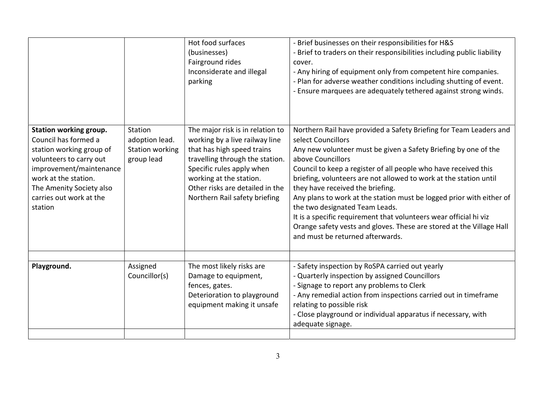|                                                                                                                                                                                                                            |                                                                   | Hot food surfaces<br>(businesses)<br>Fairground rides<br>Inconsiderate and illegal<br>parking                                                                                                                                                                   | - Brief businesses on their responsibilities for H&S<br>- Brief to traders on their responsibilities including public liability<br>cover.<br>- Any hiring of equipment only from competent hire companies.<br>- Plan for adverse weather conditions including shutting of event.<br>- Ensure marquees are adequately tethered against strong winds.                                                                                                                                                                                                                                                                                                     |
|----------------------------------------------------------------------------------------------------------------------------------------------------------------------------------------------------------------------------|-------------------------------------------------------------------|-----------------------------------------------------------------------------------------------------------------------------------------------------------------------------------------------------------------------------------------------------------------|---------------------------------------------------------------------------------------------------------------------------------------------------------------------------------------------------------------------------------------------------------------------------------------------------------------------------------------------------------------------------------------------------------------------------------------------------------------------------------------------------------------------------------------------------------------------------------------------------------------------------------------------------------|
| Station working group.<br>Council has formed a<br>station working group of<br>volunteers to carry out<br>improvement/maintenance<br>work at the station.<br>The Amenity Society also<br>carries out work at the<br>station | Station<br>adoption lead.<br><b>Station working</b><br>group lead | The major risk is in relation to<br>working by a live railway line<br>that has high speed trains<br>travelling through the station.<br>Specific rules apply when<br>working at the station.<br>Other risks are detailed in the<br>Northern Rail safety briefing | Northern Rail have provided a Safety Briefing for Team Leaders and<br>select Councillors<br>Any new volunteer must be given a Safety Briefing by one of the<br>above Councillors<br>Council to keep a register of all people who have received this<br>briefing, volunteers are not allowed to work at the station until<br>they have received the briefing.<br>Any plans to work at the station must be logged prior with either of<br>the two designated Team Leads.<br>It is a specific requirement that volunteers wear official hi viz<br>Orange safety vests and gloves. These are stored at the Village Hall<br>and must be returned afterwards. |
|                                                                                                                                                                                                                            |                                                                   |                                                                                                                                                                                                                                                                 |                                                                                                                                                                                                                                                                                                                                                                                                                                                                                                                                                                                                                                                         |
| Playground.                                                                                                                                                                                                                | Assigned<br>Councillor(s)                                         | The most likely risks are<br>Damage to equipment,<br>fences, gates.<br>Deterioration to playground<br>equipment making it unsafe                                                                                                                                | - Safety inspection by RoSPA carried out yearly<br>- Quarterly inspection by assigned Councillors<br>- Signage to report any problems to Clerk<br>- Any remedial action from inspections carried out in timeframe<br>relating to possible risk<br>- Close playground or individual apparatus if necessary, with<br>adequate signage.                                                                                                                                                                                                                                                                                                                    |